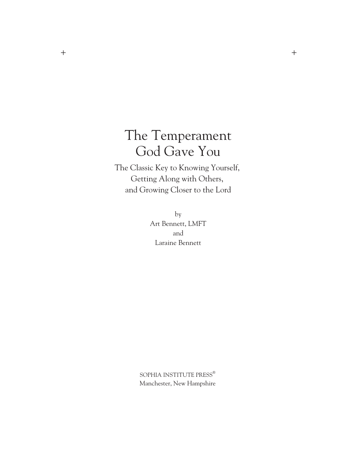+ +

The Classic Key to Knowing Yourself, Getting Along with Others, and Growing Closer to the Lord

> by Art Bennett, LMFT and Laraine Bennett

SOPHIA INSTITUTE PRESS® Manchester, New Hampshire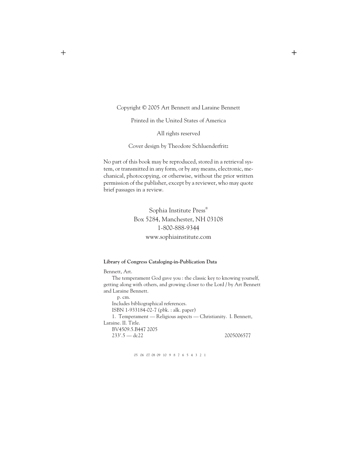#### Copyright © 2005 Art Bennett and Laraine Bennett

+ +

Printed in the United States of America

All rights reserved

Cover design by Theodore Schluenderfritz

No part of this book may be reproduced, stored in a retrieval system, or transmitted in any form, or by any means, electronic, mechanical, photocopying, or otherwise, without the prior written permission of the publisher, except by a reviewer, who may quote brief passages in a review.

> Sophia Institute Press® Box 5284, Manchester, NH 03108 1-800-888-9344 www.sophiainstitute.com

#### **Library of Congress Cataloging-in-Publication Data**

Bennett, Art.

The temperament God gave you : the classic key to knowing yourself, getting along with others, and growing closer to the Lord / by Art Bennett and Laraine Bennett.

p. cm. Includes bibliographical references. ISBN 1-933184-02-7 (pbk. : alk. paper) 1. Temperament — Religious aspects — Christianity. I. Bennett, Laraine. II. Title. BV4509.5.B447 2005 233'.5 — dc22 2005006577

05 06 07 08 09 10 9 8 7 6 5 4 3 2 1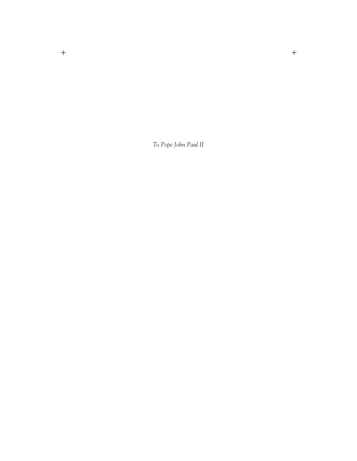*To Pope John Paul II*

+ +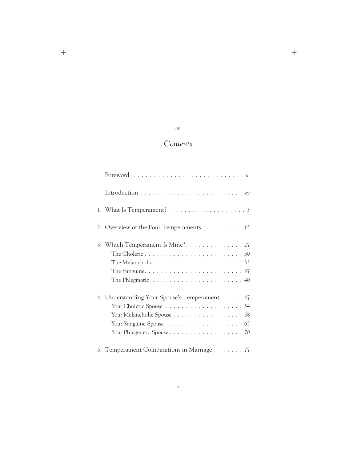## $\infty$ *Contents*

+

+

| 2. Overview of the Four Temperaments 15                                                                                                                                                           |
|---------------------------------------------------------------------------------------------------------------------------------------------------------------------------------------------------|
| 3. Which Temperament Is Mine? 27<br>The Sanguine. $\dots \dots \dots \dots \dots \dots \dots \dots \dots \dots$ 37<br>The Phlegmatic $\ldots \ldots \ldots \ldots \ldots \ldots \ldots \ldots 40$ |
| 4. Understanding Your Spouse's Temperament 47<br>Your Melancholic Spouse 58                                                                                                                       |
| 5. Temperament Combinations in Marriage 77                                                                                                                                                        |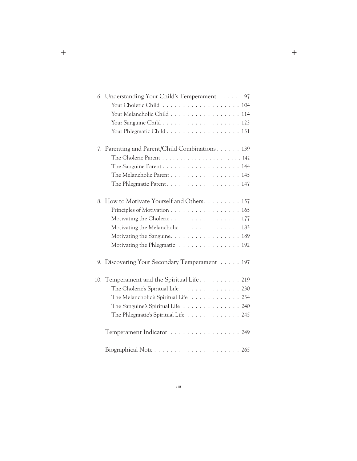|  | 6. Understanding Your Child's Temperament 97   |
|--|------------------------------------------------|
|  |                                                |
|  | Your Melancholic Child 114                     |
|  |                                                |
|  | Your Phlegmatic Child 131                      |
|  | 7. Parenting and Parent/Child Combinations 139 |
|  |                                                |
|  |                                                |
|  | The Melancholic Parent 145                     |
|  | The Phlegmatic Parent. 147                     |
|  | 8. How to Motivate Yourself and Others 157     |
|  | Principles of Motivation 165                   |
|  | Motivating the Choleric177                     |
|  | Motivating the Melancholic 183                 |
|  | Motivating the Sanguine. 189                   |
|  | Motivating the Phlegmatic 192                  |
|  | 9. Discovering Your Secondary Temperament 197  |
|  | 10. Temperament and the Spiritual Life 219     |
|  | The Choleric's Spiritual Life. 230             |
|  | The Melancholic's Spiritual Life 234           |
|  | The Sanguine's Spiritual Life 240              |
|  | The Phlegmatic's Spiritual Life 245            |
|  | Temperament Indicator 249                      |
|  |                                                |

+

+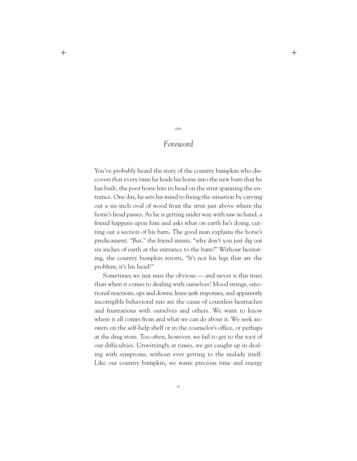## *Foreword*

∞

+ +

You've probably heard the story of the country bumpkin who discovers that every time he leads his horse into the new barn that he has built, the poor horse hits its head on the strut spanning the entrance. One day, he sets his mind to fixing the situation by carving out a six-inch oval of wood from the strut just above where the horse's head passes. As he is getting under way with saw in hand, a friend happens upon him and asks what on earth he's doing, cutting out a section of his barn. The good man explains the horse's predicament. "But," the friend insists, "why don't you just dig out six inches of earth at the entrance to the barn?" Without hesitating, the country bumpkin retorts, "It's not his legs that are the problem; it's his head!"

Sometimes we just miss the obvious — and never is this truer than when it comes to dealing with ourselves! Mood swings, emotional reactions, ups and downs, knee-jerk responses, and apparently incorrigible behavioral ruts are the cause of countless heartaches and frustrations with ourselves and others. We want to know where it all comes from and what we can do about it. We seek answers on the self-help shelf or in the counselor's office, or perhaps at the drug store. Too often, however, we fail to get to the root of our difficulties. Unwittingly at times, we get caught up in dealing with symptoms, without ever getting to the malady itself. Like our country bumpkin, we waste precious time and energy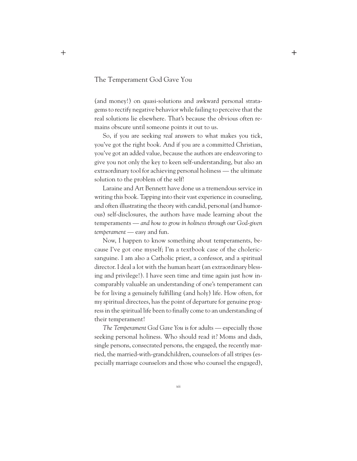(and money!) on quasi-solutions and awkward personal stratagems to rectify negative behavior while failing to perceive that the real solutions lie elsewhere. That's because the obvious often remains obscure until someone points it out to us.

+ +

So, if you are seeking *real* answers to what makes you tick, you've got the right book. And if you are a committed Christian, you've got an added value, because the authors are endeavoring to give you not only the key to keen self-understanding, but also an extraordinary tool for achieving personal holiness — the ultimate solution to the problem of the self!

Laraine and Art Bennett have done us a tremendous service in writing this book. Tapping into their vast experience in counseling, and often illustrating the theory with candid, personal (and humorous) self-disclosures, the authors have made learning about the temperaments — *and how to grow in holiness through our God-given temperament* — easy and fun.

Now, I happen to know something about temperaments, because I've got one myself; I'm a textbook case of the cholericsanguine. I am also a Catholic priest, a confessor, and a spiritual director. I deal a lot with the human heart (an extraordinary blessing and privilege!). I have seen time and time again just how incomparably valuable an understanding of one's temperament can be for living a genuinely fulfilling (and holy) life. How often, for my spiritual directees, has the point of departure for genuine progress in the spiritual life been to finally come to an understanding of their temperament!

*The Temperament God Gave You* is for adults — especially those seeking personal holiness. Who should read it? Moms and dads, single persons, consecrated persons, the engaged, the recently married, the married-with-grandchildren, counselors of all stripes (especially marriage counselors and those who counsel the engaged),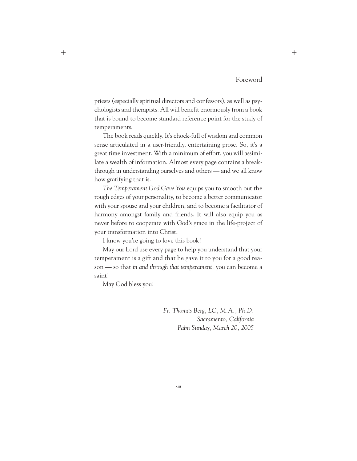+

priests (especially spiritual directors and confessors), as well as psychologists and therapists. All will benefit enormously from a book that is bound to become standard reference point for the study of temperaments.

The book reads quickly. It's chock-full of wisdom and common sense articulated in a user-friendly, entertaining prose. So, it's a great time investment. With a minimum of effort, you will assimilate a wealth of information. Almost every page contains a breakthrough in understanding ourselves and others — and we all know how gratifying that is.

*The Temperament God Gave You* equips you to smooth out the rough edges of your personality, to become a better communicator with your spouse and your children, and to become a facilitator of harmony amongst family and friends. It will also equip you as never before to cooperate with God's grace in the life-project of your transformation into Christ.

I know you're going to love this book!

May our Lord use every page to help you understand that your temperament is a gift and that he gave it to you for a good reason — so that *in and through that temperament,* you can become a saint!

May God bless you!

+

*Fr. Thomas Berg, LC, M.A., Ph.D. Sacramento, California Palm Sunday, March 20, 2005*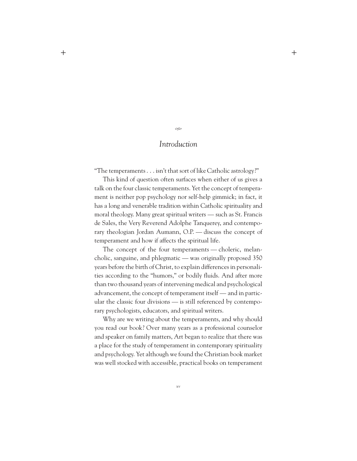## *Introduction*

∞

+

<span id="page-8-0"></span>+

"The temperaments . . . isn't that sort of like Catholic astrology?"

This kind of question often surfaces when either of us gives a talk on the four classic temperaments. Yet the concept of temperament is neither pop psychology nor self-help gimmick; in fact, it has a long and venerable tradition within Catholic spirituality and moral theology. Many great spiritual writers — such as St. Francis de Sales, the Very Reverend Adolphe Tanquerey, and contemporary theologian Jordan Aumann, O.P. — discuss the concept of temperament and how if affects the spiritual life.

The concept of the four temperaments — choleric, melancholic, sanguine, and phlegmatic — was originally proposed 350 years before the birth of Christ, to explain differences in personalities according to the "humors," or bodily fluids. And after more than two thousand years of intervening medical and psychological advancement, the concept of temperament itself — and in particular the classic four divisions — is still referenced by contemporary psychologists, educators, and spiritual writers.

Why are we writing about the temperaments, and why should you read our book? Over many years as a professional counselor and speaker on family matters, Art began to realize that there was a place for the study of temperament in contemporary spirituality and psychology. Yet although we found the Christian book market was well stocked with accessible, practical books on temperament

xv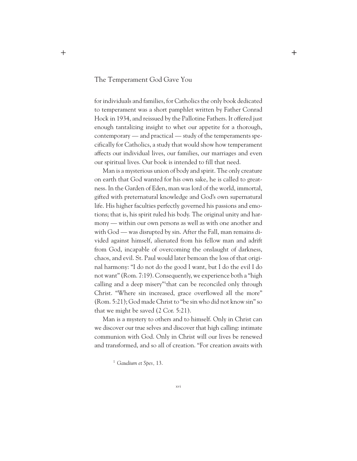+

for individuals and families, for Catholics the only book dedicated to temperament was a short pamphlet written by Father Conrad Hock in 1934, and reissued by the Pallotine Fathers. It offered just enough tantalizing insight to whet our appetite for a thorough, contemporary — and practical — study of the temperaments specifically for Catholics, a study that would show how temperament affects our individual lives, our families, our marriages and even our spiritual lives. Our book is intended to fill that need.

+

Man is a mysterious union of body and spirit. The only creature on earth that God wanted for his own sake, he is called to greatness. In the Garden of Eden, man was lord of the world, immortal, gifted with preternatural knowledge and God's own supernatural life. His higher faculties perfectly governed his passions and emotions; that is, his spirit ruled his body. The original unity and harmony — within our own persons as well as with one another and with God — was disrupted by sin. After the Fall, man remains divided against himself, alienated from his fellow man and adrift from God, incapable of overcoming the onslaught of darkness, chaos, and evil. St. Paul would later bemoan the loss of that original harmony: "I do not do the good I want, but I do the evil I do not want" (Rom. 7:19). Consequently, we experience both a "high calling and a deep misery"<sup>1</sup>that can be reconciled only through Christ. "Where sin increased, grace overflowed all the more" (Rom. 5:21); God made Christ to "be sin who did not know sin" so that we might be saved (2 Cor. 5:21).

Man is a mystery to others and to himself. Only in Christ can we discover our true selves and discover that high calling: intimate communion with God. Only in Christ will our lives be renewed and transformed, and so all of creation. "For creation awaits with

<sup>1</sup> *Gaudium et Spes,* 13.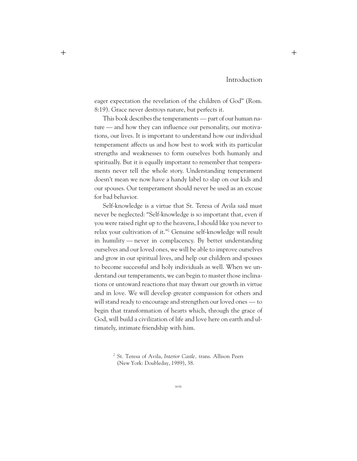eager expectation the revelation of the children of God" (Rom. 8:19). Grace never destroys nature, but perfects it.

+ +

This book describes the temperaments — part of our human nature — and how they can influence our personality, our motivations, our lives. It is important to understand how our individual temperament affects us and how best to work with its particular strengths and weaknesses to form ourselves both humanly and spiritually. But it is equally important to remember that temperaments never tell the whole story. Understanding temperament doesn't mean we now have a handy label to slap on our kids and our spouses. Our temperament should never be used as an excuse for bad behavior.

Self-knowledge is a virtue that St. Teresa of Avila said must never be neglected: "Self-knowledge is so important that, even if you were raised right up to the heavens, I should like you never to relax your cultivation of it."2 Genuine self-knowledge will result in humility — never in complacency. By better understanding ourselves and our loved ones, we will be able to improve ourselves and grow in our spiritual lives, and help our children and spouses to become successful and holy individuals as well. When we understand our temperaments, we can begin to master those inclinations or untoward reactions that may thwart our growth in virtue and in love. We will develop greater compassion for others and will stand ready to encourage and strengthen our loved ones — to begin that transformation of hearts which, through the grace of God, will build a civilization of life and love here on earth and ultimately, intimate friendship with him.

<sup>2</sup> St. Teresa of Avila, *Interior Castle,* trans. Allison Peers (New York: Doubleday, 1989), 38.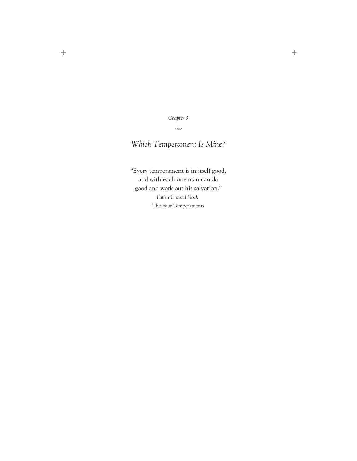*Chapter 3*

+ +

 $\infty$ 

## *Which Temperament Is Mine?*

"Every temperament is in itself good, and with each one man can do good and work out his salvation." *Father Conrad Hock,* The Four Temperaments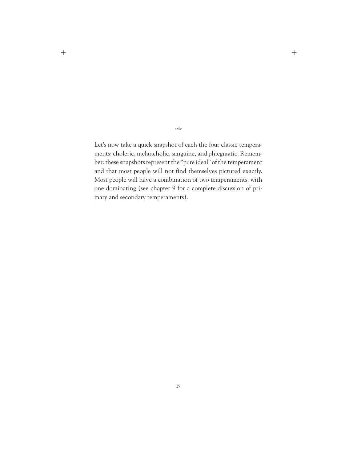Let's now take a quick snapshot of each the four classic temperaments: choleric, melancholic, sanguine, and phlegmatic. Remember: these snapshots represent the "pure ideal" of the temperament and that most people will not find themselves pictured exactly. Most people will have a combination of two temperaments, with one dominating (see chapter 9 for a complete discussion of primary and secondary temperaments).

 $\infty$ 

+

+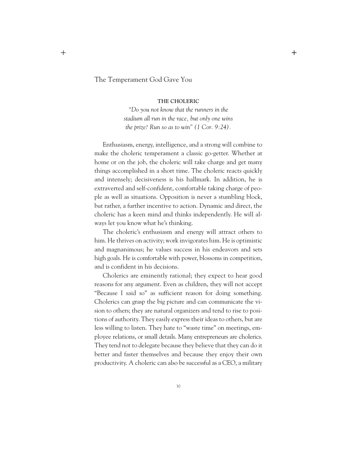+

#### **THE CHOLERIC**

+

*"Do you not know that the runners in the stadium all run in the race, but only one wins the prize? Run so as to win" (1 Cor. 9:24).*

Enthusiasm, energy, intelligence, and a strong will combine to make the choleric temperament a classic go-getter. Whether at home or on the job, the choleric will take charge and get many things accomplished in a short time. The choleric reacts quickly and intensely; decisiveness is his hallmark. In addition, he is extraverted and self-confident, comfortable taking charge of people as well as situations. Opposition is never a stumbling block, but rather, a further incentive to action. Dynamic and direct, the choleric has a keen mind and thinks independently. He will always let you know what he's thinking.

The choleric's enthusiasm and energy will attract others to him. He thrives on activity; work invigorates him. He is optimistic and magnanimous; he values success in his endeavors and sets high goals. He is comfortable with power, blossoms in competition, and is confident in his decisions.

Cholerics are eminently rational; they expect to hear good reasons for any argument. Even as children, they will not accept "Because I said so" as sufficient reason for doing something. Cholerics can grasp the big picture and can communicate the vision to others; they are natural organizers and tend to rise to positions of authority. They easily express their ideas to others, but are less willing to listen. They hate to "waste time" on meetings, employee relations, or small details. Many entrepreneurs are cholerics. They tend not to delegate because they believe that they can do it better and faster themselves and because they enjoy their own productivity. A choleric can also be successful as a CEO, a military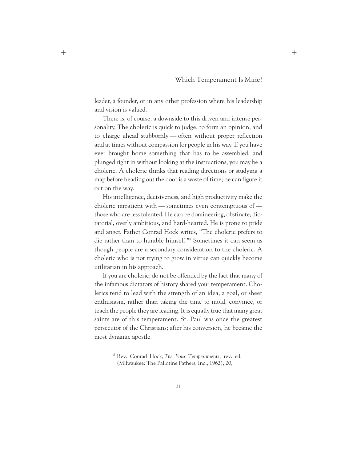leader, a founder, or in any other profession where his leadership and vision is valued.

+ +

There is, of course, a downside to this driven and intense personality. The choleric is quick to judge, to form an opinion, and to charge ahead stubbornly — often without proper reflection and at times without compassion for people in his way. If you have ever brought home something that has to be assembled, and plunged right in without looking at the instructions, you may be a choleric. A choleric thinks that reading directions or studying a map before heading out the door is a waste of time; he can figure it out on the way.

His intelligence, decisiveness, and high productivity make the choleric impatient with — sometimes even contemptuous of those who are less talented. He can be domineering, obstinate, dictatorial, overly ambitious, and hard-hearted. He is prone to pride and anger. Father Conrad Hock writes, "The choleric prefers to die rather than to humble himself."8 Sometimes it can seem as though people are a secondary consideration to the choleric. A choleric who is not trying to grow in virtue can quickly become utilitarian in his approach.

If you are choleric, do not be offended by the fact that many of the infamous dictators of history shared your temperament. Cholerics tend to lead with the strength of an idea, a goal, or sheer enthusiasm, rather than taking the time to mold, convince, or teach the people they are leading. It is equally true that many great saints are of this temperament. St. Paul was once the greatest persecutor of the Christians; after his conversion, he became the most dynamic apostle.

<sup>8</sup> Rev. Conrad Hock, *The Four Temperaments,* rev. ed. (Milwaukee: The Pallotine Fathers, Inc., 1962), 20,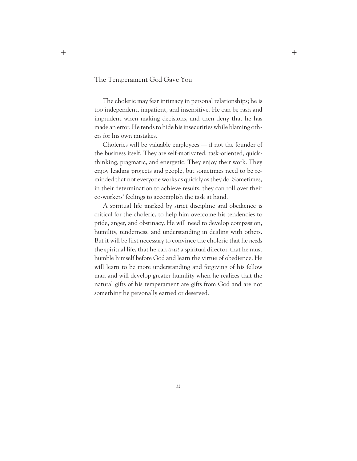+

The choleric may fear intimacy in personal relationships; he is too independent, impatient, and insensitive. He can be rash and imprudent when making decisions, and then deny that he has made an error. He tends to hide his insecurities while blaming others for his own mistakes.

+

Cholerics will be valuable employees — if not the founder of the business itself. They are self-motivated, task-oriented, quickthinking, pragmatic, and energetic. They enjoy their work. They enjoy leading projects and people, but sometimes need to be reminded that not everyone works as quickly as they do. Sometimes, in their determination to achieve results, they can roll over their co-workers' feelings to accomplish the task at hand.

A spiritual life marked by strict discipline and obedience is critical for the choleric, to help him overcome his tendencies to pride, anger, and obstinacy. He will need to develop compassion, humility, tenderness, and understanding in dealing with others. But it will be first necessary to convince the choleric that he *needs* the spiritual life, that he can *trust* a spiritual director, that he must humble himself before God and learn the virtue of obedience. He will learn to be more understanding and forgiving of his fellow man and will develop greater humility when he realizes that the natural gifts of his temperament are gifts from God and are not something he personally earned or deserved.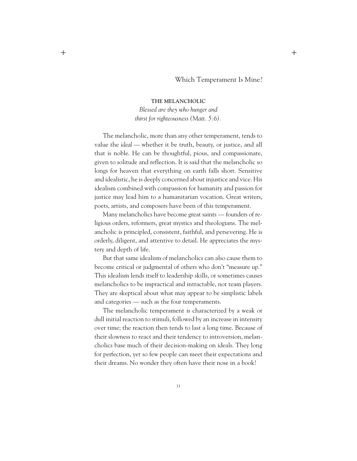## Which Temperament Is Mine?

#### **THE MELANCHOLIC**

+ +

*Blessed are they who hunger and thirst for righteousness (Matt. 5:6).*

The melancholic, more than any other temperament, tends to value the *ideal* — whether it be truth, beauty, or justice, and all that is noble. He can be thoughtful, pious, and compassionate, given to solitude and reflection. It is said that the melancholic so longs for heaven that everything on earth falls short. Sensitive and idealistic, he is deeply concerned about injustice and vice. His idealism combined with compassion for humanity and passion for justice may lead him to a humanitarian vocation. Great writers, poets, artists, and composers have been of this temperament.

Many melancholics have become great saints — founders of religious orders, reformers, great mystics and theologians. The melancholic is principled, consistent, faithful, and persevering. He is orderly, diligent, and attentive to detail. He appreciates the mystery and depth of life.

But that same idealism of melancholics can also cause them to become critical or judgmental of others who don't "measure up." This idealism lends itself to leadership skills, or sometimes causes melancholics to be impractical and intractable, not team players. They are skeptical about what may appear to be simplistic labels and categories — such as the four temperaments.

The melancholic temperament is characterized by a weak or dull initial reaction to stimuli, followed by an increase in intensity over time; the reaction then tends to last a long time. Because of their slowness to react and their tendency to introversion, melancholics base much of their decision-making on ideals. They long for perfection, yet so few people can meet their expectations and their dreams. No wonder they often have their nose in a book!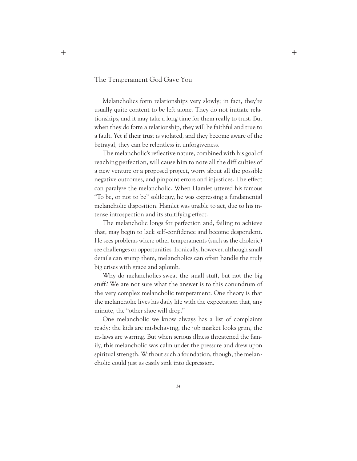+

Melancholics form relationships very slowly; in fact, they're usually quite content to be left alone. They do not initiate relationships, and it may take a long time for them really to trust. But when they do form a relationship, they will be faithful and true to a fault. Yet if their trust is violated, and they become aware of the betrayal, they can be relentless in unforgiveness.

+

The melancholic's reflective nature, combined with his goal of reaching perfection, will cause him to note all the difficulties of a new venture or a proposed project, worry about all the possible negative outcomes, and pinpoint errors and injustices. The effect can paralyze the melancholic. When Hamlet uttered his famous "To be, or not to be" soliloquy, he was expressing a fundamental melancholic disposition. Hamlet was unable to act, due to his intense introspection and its stultifying effect.

The melancholic longs for perfection and, failing to achieve that, may begin to lack self-confidence and become despondent. He sees problems where other temperaments (such as the choleric) see challenges or opportunities. Ironically, however, although small details can stump them, melancholics can often handle the truly big crises with grace and aplomb.

Why do melancholics sweat the small stuff, but not the big stuff? We are not sure what the answer is to this conundrum of the very complex melancholic temperament. One theory is that the melancholic lives his daily life with the expectation that, any minute, the "other shoe will drop."

One melancholic we know always has a list of complaints ready: the kids are misbehaving, the job market looks grim, the in-laws are warring. But when serious illness threatened the family, this melancholic was calm under the pressure and drew upon spiritual strength. Without such a foundation, though, the melancholic could just as easily sink into depression.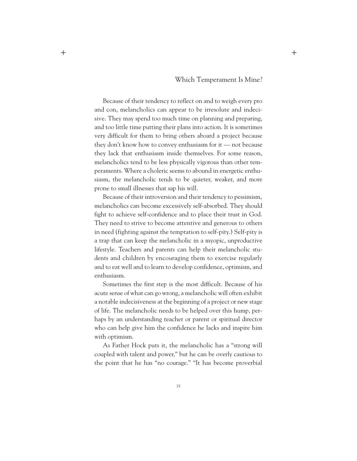Because of their tendency to reflect on and to weigh every pro and con, melancholics can appear to be irresolute and indecisive. They may spend too much time on planning and preparing, and too little time putting their plans into action. It is sometimes very difficult for them to bring others aboard a project because they don't know how to convey enthusiasm for it — not because they lack that enthusiasm inside themselves. For some reason, melancholics tend to be less physically vigorous than other temperaments. Where a choleric seems to abound in energetic enthusiasm, the melancholic tends to be quieter, weaker, and more prone to small illnesses that sap his will.

+ +

Because of their introversion and their tendency to pessimism, melancholics can become excessively self-absorbed. They should fight to achieve self-confidence and to place their trust in God. They need to strive to become attentive and generous to others in need (fighting against the temptation to self-pity.) Self-pity is a trap that can keep the melancholic in a myopic, unproductive lifestyle. Teachers and parents can help their melancholic students and children by encouraging them to exercise regularly and to eat well and to learn to develop confidence, optimism, and enthusiasm.

Sometimes the first step is the most difficult. Because of his acute sense of what can go wrong, a melancholic will often exhibit a notable indecisiveness at the beginning of a project or new stage of life. The melancholic needs to be helped over this hump, perhaps by an understanding teacher or parent or spiritual director who can help give him the confidence he lacks and inspire him with optimism.

As Father Hock puts it, the melancholic has a "strong will coupled with talent and power," but he can be overly cautious to the point that he has "no courage." "It has become proverbial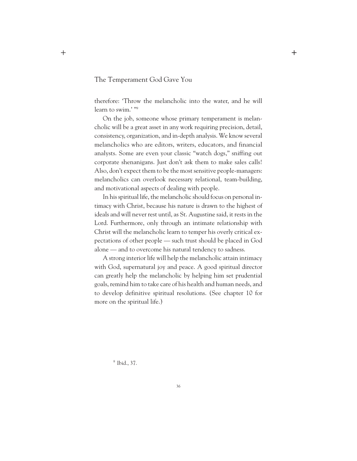+

therefore: 'Throw the melancholic into the water, and he will learn to swim.'"<sup>9</sup>

+

On the job, someone whose primary temperament is melancholic will be a great asset in any work requiring precision, detail, consistency, organization, and in-depth analysis. We know several melancholics who are editors, writers, educators, and financial analysts. Some are even your classic "watch dogs," sniffing out corporate shenanigans. Just don't ask them to make sales calls! Also, don't expect them to be the most sensitive people-managers: melancholics can overlook necessary relational, team-building, and motivational aspects of dealing with people.

In his spiritual life, the melancholic should focus on personal intimacy with Christ, because his nature is drawn to the highest of ideals and will never rest until, as St. Augustine said, it rests in the Lord. Furthermore, only through an intimate relationship with Christ will the melancholic learn to temper his overly critical expectations of other people — such trust should be placed in God alone — and to overcome his natural tendency to sadness.

A strong interior life will help the melancholic attain intimacy with God, supernatural joy and peace. A good spiritual director can greatly help the melancholic by helping him set prudential goals, remind him to take care of his health and human needs, and to develop definitive spiritual resolutions. (See chapter 10 for more on the spiritual life.)

<sup>9</sup> Ibid., 37.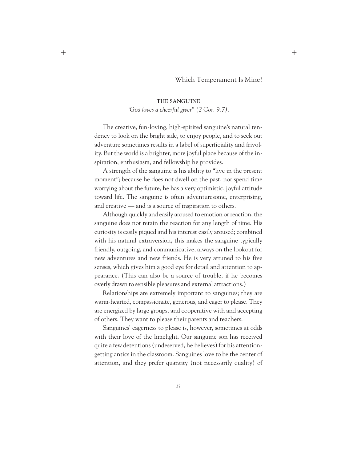#### **THE SANGUINE**

+ +

*"God loves a cheerful giver" (2 Cor. 9:7).*

The creative, fun-loving, high-spirited sanguine's natural tendency to look on the bright side, to enjoy people, and to seek out adventure sometimes results in a label of superficiality and frivolity. But the world is a brighter, more joyful place because of the inspiration, enthusiasm, and fellowship he provides.

A strength of the sanguine is his ability to "live in the present moment"; because he does not dwell on the past, nor spend time worrying about the future, he has a very optimistic, joyful attitude toward life. The sanguine is often adventuresome, enterprising, and creative — and is a source of inspiration to others.

Although quickly and easily aroused to emotion or reaction, the sanguine does not retain the reaction for any length of time. His curiosity is easily piqued and his interest easily aroused; combined with his natural extraversion, this makes the sanguine typically friendly, outgoing, and communicative, always on the lookout for new adventures and new friends. He is very attuned to his five senses, which gives him a good eye for detail and attention to appearance. (This can also be a source of trouble, if he becomes overly drawn to sensible pleasures and external attractions.)

Relationships are extremely important to sanguines; they are warm-hearted, compassionate, generous, and eager to please. They are energized by large groups, and cooperative with and accepting of others. They want to please their parents and teachers.

Sanguines' eagerness to please is, however, sometimes at odds with their love of the limelight. Our sanguine son has received quite a few detentions (undeserved, he believes) for his attentiongetting antics in the classroom. Sanguines love to be the center of attention, and they prefer quantity (not necessarily quality) of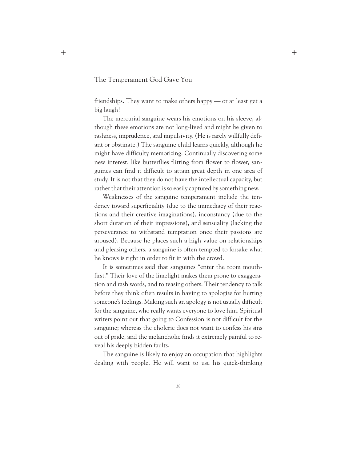+

friendships. They want to make others happy — or at least get a big laugh!

+

The mercurial sanguine wears his emotions on his sleeve, although these emotions are not long-lived and might be given to rashness, imprudence, and impulsivity. (He is rarely willfully defiant or obstinate.) The sanguine child learns quickly, although he might have difficulty memorizing. Continually discovering some new interest, like butterflies flitting from flower to flower, sanguines can find it difficult to attain great depth in one area of study. It is not that they do not have the intellectual capacity, but rather that their attention is so easily captured by something new.

Weaknesses of the sanguine temperament include the tendency toward superficiality (due to the immediacy of their reactions and their creative imaginations), inconstancy (due to the short duration of their impressions), and sensuality (lacking the perseverance to withstand temptation once their passions are aroused). Because he places such a high value on relationships and pleasing others, a sanguine is often tempted to forsake what he knows is right in order to fit in with the crowd.

It is sometimes said that sanguines "enter the room mouthfirst." Their love of the limelight makes them prone to exaggeration and rash words, and to teasing others. Their tendency to talk before they think often results in having to apologize for hurting someone's feelings. Making such an apology is not usually difficult for the sanguine, who really wants everyone to love him. Spiritual writers point out that going to Confession is not difficult for the sanguine; whereas the choleric does not want to confess his sins out of pride, and the melancholic finds it extremely painful to reveal his deeply hidden faults.

The sanguine is likely to enjoy an occupation that highlights dealing with people. He will want to use his quick-thinking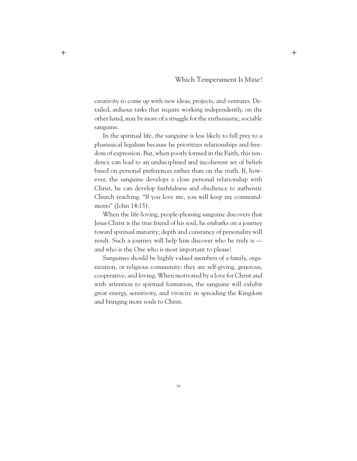creativity to come up with new ideas, projects, and ventures. Detailed, arduous tasks that require working independently, on the other hand, may be more of a struggle for the enthusiastic, sociable sanguine.

+ +

In the spiritual life, the sanguine is less likely to fall prey to a pharisaical legalism because he prioritizes relationships and freedom of expression. But, when poorly formed in the Faith, this tendency can lead to an undisciplined and incoherent set of beliefs based on personal preferences rather than on the truth. If, however, the sanguine develops a close personal relationship with Christ, he can develop faithfulness and obedience to authentic Church teaching. "If you love me, you will keep my commandments" (John 14:15).

When the life-loving, people-pleasing sanguine discovers that Jesus Christ is the true friend of his soul, he embarks on a journey toward spiritual maturity; depth and constancy of personality will result. Such a journey will help him discover who he truly is and who is the One who is most important to please!

Sanguines should be highly valued members of a family, organization, or religious community: they are self-giving, generous, cooperative, and loving. When motivated by a love for Christ and with attention to spiritual formation, the sanguine will exhibit great energy, sensitivity, and vivacity in spreading the Kingdom and bringing more souls to Christ.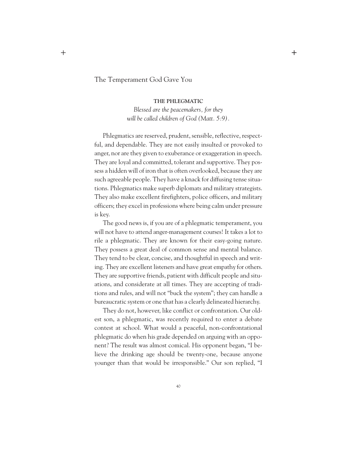+

#### **THE PHLEGMATIC**

+

*Blessed are the peacemakers, for they will be called children of God (Matt. 5:9).*

Phlegmatics are reserved, prudent, sensible, reflective, respectful, and dependable. They are not easily insulted or provoked to anger, nor are they given to exuberance or exaggeration in speech. They are loyal and committed, tolerant and supportive. They possess a hidden will of iron that is often overlooked, because they are such agreeable people. They have a knack for diffusing tense situations. Phlegmatics make superb diplomats and military strategists. They also make excellent firefighters, police officers, and military officers; they excel in professions where being calm under pressure is key.

The good news is, if you are of a phlegmatic temperament, you will not have to attend anger-management courses! It takes a lot to rile a phlegmatic. They are known for their easy-going nature. They possess a great deal of common sense and mental balance. They tend to be clear, concise, and thoughtful in speech and writing. They are excellent listeners and have great empathy for others. They are supportive friends, patient with difficult people and situations, and considerate at all times. They are accepting of traditions and rules, and will not "buck the system"; they can handle a bureaucratic system or one that has a clearly delineated hierarchy.

They do not, however, like conflict or confrontation. Our oldest son, a phlegmatic, was recently required to enter a debate contest at school. What would a peaceful, non-confrontational phlegmatic do when his grade depended on arguing with an opponent? The result was almost comical. His opponent began, "I believe the drinking age should be twenty-one, because anyone younger than that would be irresponsible." Our son replied, "I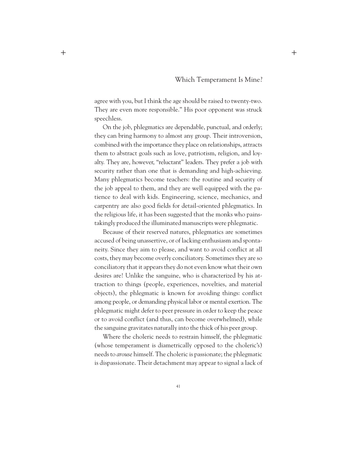agree with you, but I think the age should be raised to twenty-two. They are even more responsible." His poor opponent was struck speechless.

+ +

On the job, phlegmatics are dependable, punctual, and orderly; they can bring harmony to almost any group. Their introversion, combined with the importance they place on relationships, attracts them to abstract goals such as love, patriotism, religion, and loyalty. They are, however, "reluctant" leaders. They prefer a job with security rather than one that is demanding and high-achieving. Many phlegmatics become teachers: the routine and security of the job appeal to them, and they are well equipped with the patience to deal with kids. Engineering, science, mechanics, and carpentry are also good fields for detail-oriented phlegmatics. In the religious life, it has been suggested that the monks who painstakingly produced the illuminated manuscripts were phlegmatic.

Because of their reserved natures, phlegmatics are sometimes accused of being unassertive, or of lacking enthusiasm and spontaneity. Since they aim to please, and want to avoid conflict at all costs, they may become overly conciliatory. Sometimes they are so conciliatory that it appears they do not even know what their own desires are! Unlike the sanguine, who is characterized by his attraction to things (people, experiences, novelties, and material objects), the phlegmatic is known for avoiding things: conflict among people, or demanding physical labor or mental exertion. The phlegmatic might defer to peer pressure in order to keep the peace or to avoid conflict (and thus, can become overwhelmed), while the sanguine gravitates naturally into the thick of his peer group.

Where the choleric needs to restrain himself, the phlegmatic (whose temperament is diametrically opposed to the choleric's) needs to *arouse* himself. The choleric is passionate; the phlegmatic is dispassionate. Their detachment may appear to signal a lack of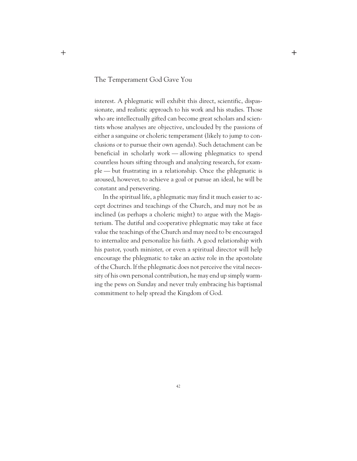+

interest. A phlegmatic will exhibit this direct, scientific, dispassionate, and realistic approach to his work and his studies. Those who are intellectually gifted can become great scholars and scientists whose analyses are objective, unclouded by the passions of either a sanguine or choleric temperament (likely to jump to conclusions or to pursue their own agenda). Such detachment can be beneficial in scholarly work — allowing phlegmatics to spend countless hours sifting through and analyzing research, for example — but frustrating in a relationship. Once the phlegmatic is aroused, however, to achieve a goal or pursue an ideal, he will be constant and persevering.

+

In the spiritual life, a phlegmatic may find it much easier to accept doctrines and teachings of the Church, and may not be as inclined (as perhaps a choleric might) to argue with the Magisterium. The dutiful and cooperative phlegmatic may take at face value the teachings of the Church and may need to be encouraged to internalize and personalize his faith. A good relationship with his pastor, youth minister, or even a spiritual director will help encourage the phlegmatic to take an *active* role in the apostolate of the Church. If the phlegmatic does not perceive the vital necessity of his own personal contribution, he may end up simply warming the pews on Sunday and never truly embracing his baptismal commitment to help spread the Kingdom of God.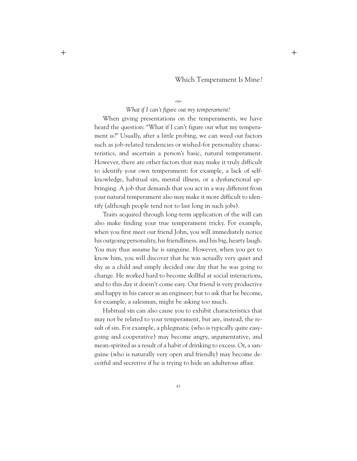o\$

+ +

*What if I can't figure out my temperament?*

When giving presentations on the temperaments, we have heard the question: "What if I can't figure out what my temperament is?" Usually, after a little probing, we can weed out factors such as job-related tendencies or wished-for personality characteristics, and ascertain a person's basic, natural temperament. However, there are other factors that may make it truly difficult to identify your own temperament: for example, a lack of selfknowledge, habitual sin, mental illness, or a dysfunctional upbringing. A job that demands that you act in a way different from your natural temperament also may make it more difficult to identify (although people tend not to last long in such jobs).

Traits acquired through long-term application of the will can also make finding your true temperament tricky. For example, when you first meet our friend John, you will immediately notice his outgoing personality, his friendliness, and his big, hearty laugh. You may thus assume he is sanguine. However, when you get to know him, you will discover that he was actually very quiet and shy as a child and simply decided one day that he was going to change. He worked hard to become skillful at social interactions, and to this day it doesn't come easy. Our friend is very productive and happy in his career as an engineer; but to ask that he become, for example, a salesman, might be asking too much.

Habitual sin can also cause you to exhibit characteristics that may not be related to your temperament, but are, instead, the result of sin. For example, a phlegmatic (who is typically quite easygoing and cooperative) may become angry, argumentative, and mean-spirited as a result of a habit of drinking to excess. Or, a sanguine (who is naturally very open and friendly) may become deceitful and secretive if he is trying to hide an adulterous affair.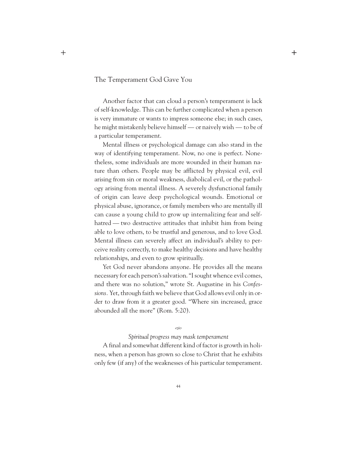+

Another factor that can cloud a person's temperament is lack of self-knowledge. This can be further complicated when a person is very immature or wants to impress someone else; in such cases, he might mistakenly believe himself — or naively wish — to be of a particular temperament.

+

Mental illness or psychological damage can also stand in the way of identifying temperament. Now, no one is perfect. Nonetheless, some individuals are more wounded in their human nature than others. People may be afflicted by physical evil, evil arising from sin or moral weakness, diabolical evil, or the pathology arising from mental illness. A severely dysfunctional family of origin can leave deep psychological wounds. Emotional or physical abuse, ignorance, or family members who are mentally ill can cause a young child to grow up internalizing fear and selfhatred — two destructive attitudes that inhibit him from being able to love others, to be trustful and generous, and to love God. Mental illness can severely affect an individual's ability to perceive reality correctly, to make healthy decisions and have healthy relationships, and even to grow spiritually.

Yet God never abandons anyone. He provides all the means necessary for each person's salvation. "I sought whence evil comes, and there was no solution," wrote St. Augustine in his *Confessions.* Yet, through faith we believe that God allows evil only in order to draw from it a greater good. "Where sin increased, grace abounded all the more" (Rom. 5:20).

#### o\$

## *Spiritual progress may mask temperament*

A final and somewhat different kind of factor is growth in holiness, when a person has grown so close to Christ that he exhibits only few (if any) of the weaknesses of his particular temperament.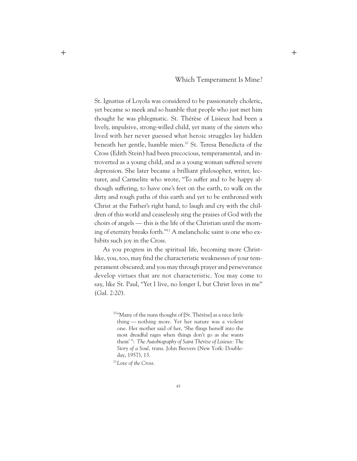St. Ignatius of Loyola was considered to be passionately choleric, yet became so meek and so humble that people who just met him thought he was phlegmatic. St. Thérèse of Lisieux had been a lively, impulsive, strong-willed child, yet many of the sisters who lived with her never guessed what heroic struggles lay hidden beneath her gentle, humble mien.<sup>10</sup> St. Teresa Benedicta of the Cross (Edith Stein) had been precocious, temperamental, and introverted as a young child, and as a young woman suffered severe depression. She later became a brilliant philosopher, writer, lecturer, and Carmelite who wrote, "To suffer and to be happy although suffering, to have one's feet on the earth, to walk on the dirty and rough paths of this earth and yet to be enthroned with Christ at the Father's right hand, to laugh and cry with the children of this world and ceaselessly sing the praises of God with the choirs of angels — this is the life of the Christian until the morning of eternity breaks forth."11 A melancholic saint is one who exhibits such joy in the Cross.

+ +

As you progress in the spiritual life, becoming more Christlike, you, too, may find the characteristic weaknesses of your temperament obscured; and you may through prayer and perseverance develop virtues that are not characteristic. You may come to say, like St. Paul, "Yet I live, no longer I, but Christ lives in me" (Gal. 2:20).

> <sup>10</sup>"Many of the nuns thought of [St. Thérèse] as a nice little thing — nothing more. Yet her nature was a violent one. Her mother said of her, 'She flings herself into the most dreadful rages when things don't go as she wants them' ": *The Autobiography of Saint Thérèse of Lisieux: The Story of a Soul,* trans. John Beevers (New York: Doubleday, 1957), 13.

<sup>11</sup>*Love of the Cross.*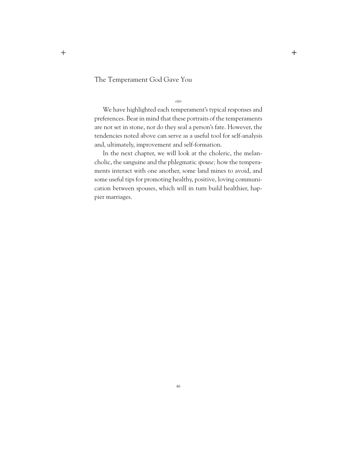+

We have highlighted each temperament's typical responses and preferences. Bear in mind that these portraits of the temperaments are not set in stone, nor do they seal a person's fate. However, the tendencies noted above can serve as a useful tool for self-analysis and, ultimately, improvement and self-formation.

o\$

+

In the next chapter, we will look at the choleric, the melancholic, the sanguine and the phlegmatic *spouse;* how the temperaments interact with one another, some land mines to avoid, and some useful tips for promoting healthy, positive, loving communication between spouses, which will in turn build healthier, happier marriages.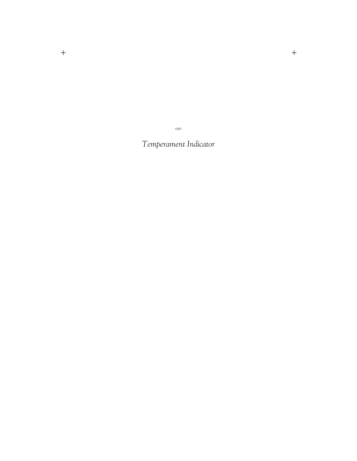$\infty$ 

+ +

*Temperament Indicator*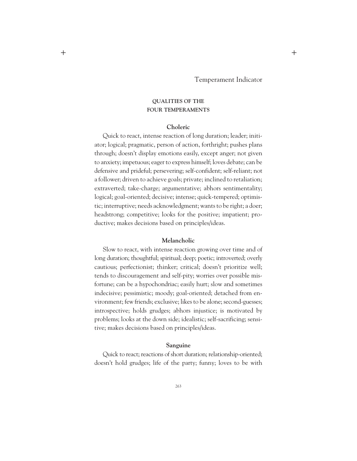#### **QUALITIES OF THE FOUR TEMPERAMENTS**

+ +

#### **Choleric**

Quick to react, intense reaction of long duration; leader; initiator; logical; pragmatic, person of action, forthright; pushes plans through; doesn't display emotions easily, except anger; not given to anxiety; impetuous; eager to express himself; loves debate; can be defensive and prideful; persevering; self-confident; self-reliant; not a follower; driven to achieve goals; private; inclined to retaliation; extraverted; take-charge; argumentative; abhors sentimentality; logical; goal-oriented; decisive; intense; quick-tempered; optimistic; interruptive; needs acknowledgment; wants to be right; a doer; headstrong; competitive; looks for the positive; impatient; productive; makes decisions based on principles/ideas.

#### **Melancholic**

Slow to react, with intense reaction growing over time and of long duration; thoughtful; spiritual; deep; poetic; introverted; overly cautious; perfectionist; thinker; critical; doesn't prioritize well; tends to discouragement and self-pity; worries over possible misfortune; can be a hypochondriac; easily hurt; slow and sometimes indecisive; pessimistic; moody; goal-oriented; detached from environment; few friends; exclusive; likes to be alone; second-guesses; introspective; holds grudges; abhors injustice; is motivated by problems; looks at the down side; idealistic; self-sacrificing; sensitive; makes decisions based on principles/ideas.

#### **Sanguine**

Quick to react; reactions of short duration; relationship-oriented; doesn't hold grudges; life of the party; funny; loves to be with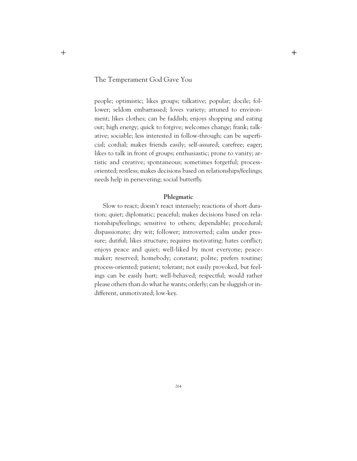people; optimistic; likes groups; talkative; popular; docile; follower; seldom embarrassed; loves variety; attuned to environment; likes clothes; can be faddish; enjoys shopping and eating out; high energy; quick to forgive; welcomes change; frank; talkative; sociable; less interested in follow-through; can be superficial; cordial; makes friends easily; self-assured; carefree; eager; likes to talk in front of groups; enthusiastic; prone to vanity; artistic and creative; spontaneous; sometimes forgetful; processoriented; restless; makes decisions based on relationships/feelings; needs help in persevering; social butterfly.

+ +

#### **Phlegmatic**

Slow to react; doesn't react intensely; reactions of short duration; quiet; diplomatic; peaceful; makes decisions based on relationships/feelings; sensitive to others; dependable; procedural; dispassionate; dry wit; follower; introverted; calm under pressure; dutiful; likes structure; requires motivating; hates conflict; enjoys peace and quiet; well-liked by most everyone; peacemaker; reserved; homebody; constant; polite; prefers routine; process-oriented; patient; tolerant; not easily provoked, but feelings can be easily hurt; well-behaved; respectful; would rather please others than do what he wants; orderly; can be sluggish or indifferent, unmotivated; low-key.